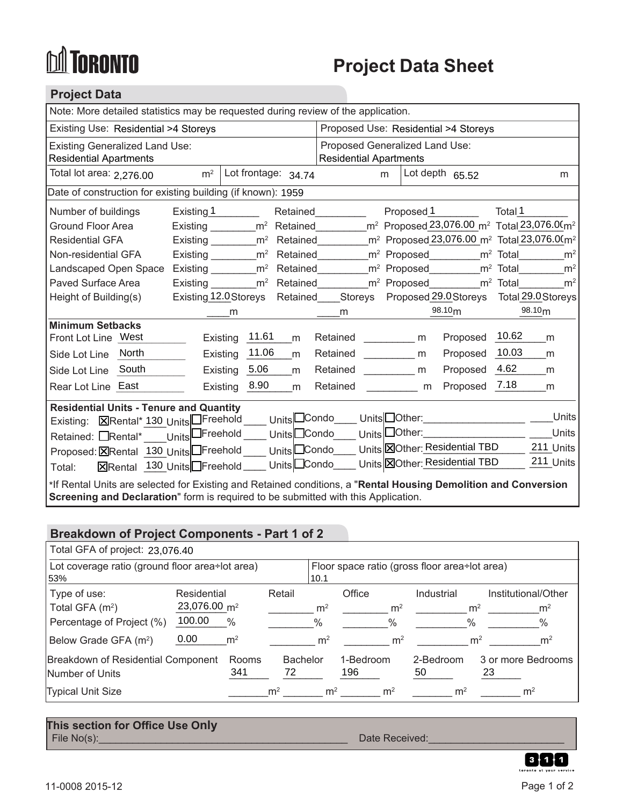# **DA TORONTO**

## **Project Data Sheet**

### **Project Data**

| Note: More detailed statistics may be requested during review of the application.                                                                                                                     |                                                                                                                                      |                                      |                                                                        |                |  |  |  |
|-------------------------------------------------------------------------------------------------------------------------------------------------------------------------------------------------------|--------------------------------------------------------------------------------------------------------------------------------------|--------------------------------------|------------------------------------------------------------------------|----------------|--|--|--|
| Existing Use: Residential >4 Storeys                                                                                                                                                                  |                                                                                                                                      | Proposed Use: Residential >4 Storeys |                                                                        |                |  |  |  |
| <b>Existing Generalized Land Use:</b>                                                                                                                                                                 |                                                                                                                                      | Proposed Generalized Land Use:       |                                                                        |                |  |  |  |
| <b>Residential Apartments</b>                                                                                                                                                                         |                                                                                                                                      | <b>Residential Apartments</b>        |                                                                        |                |  |  |  |
| Total lot area: 2,276.00                                                                                                                                                                              | Lot frontage: 34.74<br>m <sup>2</sup>                                                                                                | m                                    | Lot depth $65.52$                                                      | m              |  |  |  |
|                                                                                                                                                                                                       | Date of construction for existing building (if known): 1959                                                                          |                                      |                                                                        |                |  |  |  |
| Number of buildings                                                                                                                                                                                   | Existing 1                                                                                                                           | Retained                             | Proposed 1                                                             | Total 1        |  |  |  |
| <b>Ground Floor Area</b>                                                                                                                                                                              | Existing ________ m <sup>2</sup> Retained                                                                                            |                                      | $m^2$ Proposed 23,076.00 m <sup>2</sup> Total 23,076.00 m <sup>2</sup> |                |  |  |  |
| <b>Residential GFA</b>                                                                                                                                                                                | Existing _________ m <sup>2</sup> Retained _________ m <sup>2</sup> Proposed 23,076.00 m <sup>2</sup> Total 23,076.00 m <sup>2</sup> |                                      |                                                                        |                |  |  |  |
| Non-residential GFA                                                                                                                                                                                   | Existing ________ m <sup>2</sup> Retained ________ m <sup>2</sup> Proposed ________ m <sup>2</sup> Total _______                     |                                      |                                                                        | m <sup>2</sup> |  |  |  |
| Landscaped Open Space                                                                                                                                                                                 | Existing m <sup>2</sup> Retained                                                                                                     |                                      | m <sup>2</sup> Proposed___________m <sup>2</sup> Total_________        | m <sup>2</sup> |  |  |  |
| Paved Surface Area                                                                                                                                                                                    | Existing _______ m <sup>2</sup> Retained _______ m <sup>2</sup> Proposed _______ m <sup>2</sup> Total                                |                                      |                                                                        | m <sup>2</sup> |  |  |  |
| Height of Building(s)                                                                                                                                                                                 | Existing 12.0 Storeys Retained Storeys Proposed 29.0 Storeys Total 29.0 Storeys                                                      |                                      |                                                                        |                |  |  |  |
|                                                                                                                                                                                                       | m                                                                                                                                    | m                                    | 98.10 <sub>m</sub>                                                     | 98.10 $m$      |  |  |  |
| <b>Minimum Setbacks</b>                                                                                                                                                                               |                                                                                                                                      |                                      |                                                                        |                |  |  |  |
| Front Lot Line West                                                                                                                                                                                   | Existing 11.61<br>m                                                                                                                  | Retained m                           | Proposed 10.62                                                         | m              |  |  |  |
| Side Lot Line North                                                                                                                                                                                   | Existing $11.06$<br>m                                                                                                                | Retained m                           | Proposed 10.03                                                         | m              |  |  |  |
| Side Lot Line South                                                                                                                                                                                   | Existing 5.06<br>m                                                                                                                   | Retained ____________ m              | Proposed 4.62                                                          | m              |  |  |  |
| Rear Lot Line East                                                                                                                                                                                    | Existing 8.90<br>m                                                                                                                   | Retained m                           | Proposed 7.18                                                          | m              |  |  |  |
| <b>Residential Units - Tenure and Quantity</b>                                                                                                                                                        |                                                                                                                                      |                                      |                                                                        |                |  |  |  |
|                                                                                                                                                                                                       | Existing: ERental* 130_UnitsDFreehold ____ UnitsDCondo____ UnitsDOther:_________                                                     |                                      |                                                                        | Units          |  |  |  |
|                                                                                                                                                                                                       | Retained: ORental* ____UnitsOFreehold ____ UnitsOCondo ___ UnitsOOther: ________________                                             |                                      |                                                                        | <b>Units</b>   |  |  |  |
|                                                                                                                                                                                                       | Proposed: <b>X</b> Rental 130 Units Freehold ____ Units Condo ____ Units XOther: Residential TBD                                     |                                      |                                                                        | 211 Units      |  |  |  |
| Total:                                                                                                                                                                                                | ⊠Rental 130 Units Freehold ____ Units LCondo ___ Units <b>EO</b> Other: Residential TBD                                              |                                      |                                                                        | 211 Units      |  |  |  |
| *If Rental Units are selected for Existing and Retained conditions, a "Rental Housing Demolition and Conversion<br>Screening and Declaration" form is required to be submitted with this Application. |                                                                                                                                      |                                      |                                                                        |                |  |  |  |

### **Breakdown of Project Components - Part 1 of 2**

| Total GFA of project: 23,076.40                                                                    |                                                                                     |                                         |                                                       |                                                    |                                   |                                                                                                     |  |
|----------------------------------------------------------------------------------------------------|-------------------------------------------------------------------------------------|-----------------------------------------|-------------------------------------------------------|----------------------------------------------------|-----------------------------------|-----------------------------------------------------------------------------------------------------|--|
| Lot coverage ratio (ground floor area÷lot area)<br>53%                                             |                                                                                     |                                         | Floor space ratio (gross floor area÷lot area)<br>10.1 |                                                    |                                   |                                                                                                     |  |
| Type of use:<br>Total GFA $(m2)$<br>Percentage of Project (%)<br>Below Grade GFA (m <sup>2</sup> ) | Residential<br>23,076.00 m <sup>2</sup><br>100.00<br>$\%$<br>0.00<br>m <sup>2</sup> | Retail                                  | m <sup>2</sup><br>%<br>m <sup>2</sup>                 | Office<br>m <sup>2</sup><br>$\%$<br>m <sup>2</sup> | Industrial<br>$\%$                | Institutional/Other<br>m <sup>2</sup><br>m <sup>2</sup><br>$\%$<br>m <sup>2</sup><br>m <sup>2</sup> |  |
| Breakdown of Residential Component<br>Number of Units<br><b>Typical Unit Size</b>                  | Rooms<br>341                                                                        | <b>Bachelor</b><br>72<br>m <sup>2</sup> | m <sup>2</sup>                                        | 1-Bedroom<br>196<br>m <sup>2</sup>                 | 2-Bedroom<br>50<br>m <sup>2</sup> | 3 or more Bedrooms<br>23<br>m <sup>2</sup>                                                          |  |

#### File No(s):\_\_\_\_\_\_\_\_\_\_\_\_\_\_\_\_\_\_\_\_\_\_\_\_\_\_\_\_\_\_\_\_\_\_\_\_\_\_\_\_\_\_\_\_ Date Received:\_\_\_\_\_\_\_\_\_\_\_\_\_\_\_\_\_\_\_\_\_\_\_\_ **This section for Office Use Only**